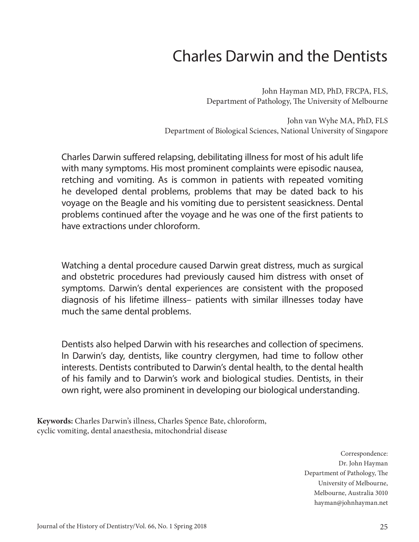# Charles Darwin and the Dentists

John Hayman MD, PhD, FRCPA, FLS, Department of Pathology, The University of Melbourne

John van Wyhe MA, PhD, FLS Department of Biological Sciences, National University of Singapore

Charles Darwin suffered relapsing, debilitating illness for most of his adult life with many symptoms. His most prominent complaints were episodic nausea, retching and vomiting. As is common in patients with repeated vomiting he developed dental problems, problems that may be dated back to his voyage on the Beagle and his vomiting due to persistent seasickness. Dental problems continued after the voyage and he was one of the first patients to have extractions under chloroform.

Watching a dental procedure caused Darwin great distress, much as surgical and obstetric procedures had previously caused him distress with onset of symptoms. Darwin's dental experiences are consistent with the proposed diagnosis of his lifetime illness– patients with similar illnesses today have much the same dental problems.

Dentists also helped Darwin with his researches and collection of specimens. In Darwin's day, dentists, like country clergymen, had time to follow other interests. Dentists contributed to Darwin's dental health, to the dental health of his family and to Darwin's work and biological studies. Dentists, in their own right, were also prominent in developing our biological understanding.

**Keywords:** Charles Darwin's illness, Charles Spence Bate, chloroform, cyclic vomiting, dental anaesthesia, mitochondrial disease

> Correspondence: Dr. John Hayman Department of Pathology, The University of Melbourne, Melbourne, Australia 3010 hayman@johnhayman.net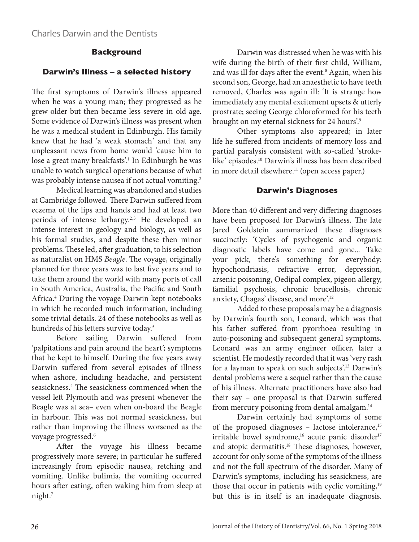### **Background**

### **Darwin's Illness – a selected history**

The first symptoms of Darwin's illness appeared when he was a young man; they progressed as he grew older but then became less severe in old age. Some evidence of Darwin's illness was present when he was a medical student in Edinburgh. His family knew that he had 'a weak stomach' and that any unpleasant news from home would 'cause him to lose a great many breakfasts'.1 In Edinburgh he was unable to watch surgical operations because of what was probably intense nausea if not actual vomiting.<sup>2</sup>

Medical learning was abandoned and studies at Cambridge followed. There Darwin suffered from eczema of the lips and hands and had at least two periods of intense lethargy.<sup>2,3</sup> He developed an intense interest in geology and biology, as well as his formal studies, and despite these then minor problems. These led, after graduation, to his selection as naturalist on HMS *Beagle*. The voyage, originally planned for three years was to last five years and to take them around the world with many ports of call in South America, Australia, the Pacific and South Africa.4 During the voyage Darwin kept notebooks in which he recorded much information, including some trivial details. 24 of these notebooks as well as hundreds of his letters survive today.<sup>5</sup>

Before sailing Darwin suffered from 'palpitations and pain around the heart'; symptoms that he kept to himself. During the five years away Darwin suffered from several episodes of illness when ashore, including headache, and persistent seasickness.4 The seasickness commenced when the vessel left Plymouth and was present whenever the Beagle was at sea– even when on-board the Beagle in harbour. This was not normal seasickness, but rather than improving the illness worsened as the voyage progressed.<sup>6</sup>

After the voyage his illness became progressively more severe; in particular he suffered increasingly from episodic nausea, retching and vomiting. Unlike bulimia, the vomiting occurred hours after eating, often waking him from sleep at night.<sup>7</sup>

Darwin was distressed when he was with his wife during the birth of their first child, William, and was ill for days after the event.<sup>8</sup> Again, when his second son, George, had an anaesthetic to have teeth removed, Charles was again ill: 'It is strange how immediately any mental excitement upsets & utterly prostrate; seeing George chloroformed for his teeth brought on my eternal sickness for 24 hours'.<sup>9</sup>

Other symptoms also appeared; in later life he suffered from incidents of memory loss and partial paralysis consistent with so-called 'strokelike' episodes.10 Darwin's illness has been described in more detail elsewhere.<sup>11</sup> (open access paper.)

### **Darwin's Diagnoses**

More than 40 different and very differing diagnoses have been proposed for Darwin's illness. The late Jared Goldstein summarized these diagnoses succinctly: 'Cycles of psychogenic and organic diagnostic labels have come and gone... Take your pick, there's something for everybody: hypochondriasis, refractive error, depression, arsenic poisoning, Oedipal complex, pigeon allergy, familial psychosis, chronic brucellosis, chronic anxiety, Chagas' disease, and more'.12

Added to these proposals may be a diagnosis by Darwin's fourth son, Leonard, which was that his father suffered from pyorrhoea resulting in auto-poisoning and subsequent general symptoms. Leonard was an army engineer officer, later a scientist. He modestly recorded that it was 'very rash for a layman to speak on such subjects'.13 Darwin's dental problems were a sequel rather than the cause of his illness. Alternate practitioners have also had their say – one proposal is that Darwin suffered from mercury poisoning from dental amalgam.<sup>14</sup>

Darwin certainly had symptoms of some of the proposed diagnoses - lactose intolerance,<sup>15</sup> irritable bowel syndrome,<sup>16</sup> acute panic disorder<sup>17</sup> and atopic dermatitis.18 These diagnoses, however, account for only some of the symptoms of the illness and not the full spectrum of the disorder. Many of Darwin's symptoms, including his seasickness, are those that occur in patients with cyclic vomiting,<sup>19</sup> but this is in itself is an inadequate diagnosis.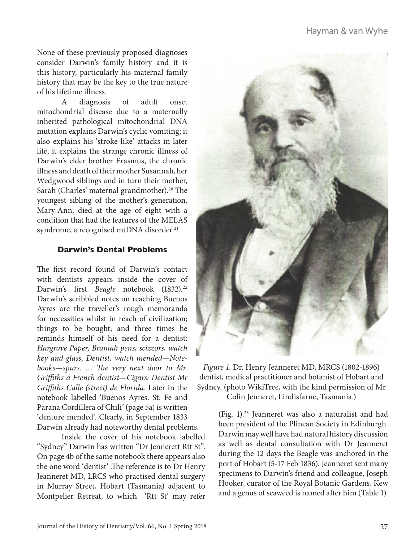None of these previously proposed diagnoses consider Darwin's family history and it is this history, particularly his maternal family history that may be the key to the true nature of his lifetime illness.

A diagnosis of adult onset mitochondrial disease due to a maternally inherited pathological mitochondrial DNA mutation explains Darwin's cyclic vomiting; it also explains his 'stroke-like' attacks in later life, it explains the strange chronic illness of Darwin's elder brother Erasmus, the chronic illness and death of their mother Susannah, her Wedgwood siblings and in turn their mother, Sarah (Charles' maternal grandmother).<sup>20</sup> The youngest sibling of the mother's generation, Mary-Ann, died at the age of eight with a condition that had the features of the MELAS syndrome, a recognised mtDNA disorder.<sup>21</sup>

### **Darwin's Dental Problems**

The first record found of Darwin's contact with dentists appears inside the cover of Darwin's first *Beagle* notebook (1832).<sup>22</sup> Darwin's scribbled notes on reaching Buenos Ayres are the traveller's rough memoranda for necessities whilst in reach of civilization; things to be bought; and three times he reminds himself of his need for a dentist: *Hargrave Paper, Bramah pens, scizzors, watch key and glass, Dentist, watch mended—Notebooks—spurs. … The very next door to Mr. Griffiths a French dentist—Cigars: Dentist Mr Griffiths Calle (street) de Florida*. Later in the notebook labelled 'Buenos Ayres. St. Fe and Parana Cordillera of Chili' (page 5a) is written 'denture mended'. Clearly, in September 1833 Darwin already had noteworthy dental problems.

Inside the cover of his notebook labelled "Sydney" Darwin has written "Dr Jennerett Rtt St". On page 4b of the same notebook there appears also the one word 'dentist' .The reference is to Dr Henry Jeanneret MD, LRCS who practised dental surgery in Murray Street, Hobart (Tasmania) adjacent to Montpelier Retreat, to which 'Rtt St' may refer



*Figure 1.* Dr. Henry Jeanneret MD, MRCS (1802-1896) dentist, medical practitioner and botanist of Hobart and Sydney. (photo WikiTree, with the kind permission of Mr Colin Jenneret, Lindisfarne, Tasmania.)

> (Fig. 1).23 Jeanneret was also a naturalist and had been president of the Plinean Society in Edinburgh. Darwin may well have had natural history discussion as well as dental consultation with Dr Jeanneret during the 12 days the Beagle was anchored in the port of Hobart (5-17 Feb 1836). Jeanneret sent many specimens to Darwin's friend and colleague, Joseph Hooker, curator of the Royal Botanic Gardens, Kew and a genus of seaweed is named after him (Table 1).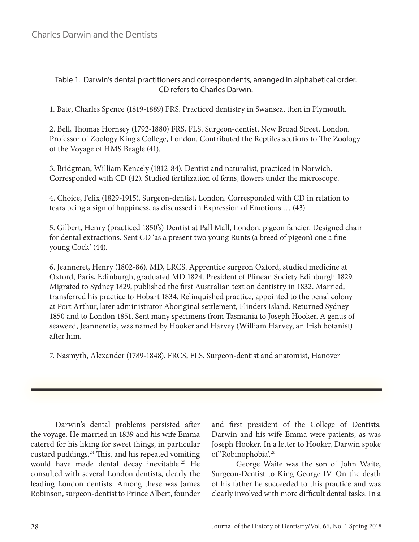### Table 1. Darwin's dental practitioners and correspondents, arranged in alphabetical order. CD refers to Charles Darwin.

1. Bate, Charles Spence (1819-1889) FRS. Practiced dentistry in Swansea, then in Plymouth.

2. Bell, Thomas Hornsey (1792-1880) FRS, FLS. Surgeon-dentist, New Broad Street, London. Professor of Zoology King's College, London. Contributed the Reptiles sections to The Zoology of the Voyage of HMS Beagle (41).

3. Bridgman, William Kencely (1812-84). Dentist and naturalist, practiced in Norwich. Corresponded with CD (42). Studied fertilization of ferns, flowers under the microscope.

4. Choice, Felix (1829-1915). Surgeon-dentist, London. Corresponded with CD in relation to tears being a sign of happiness, as discussed in Expression of Emotions … (43).

5. Gilbert, Henry (practiced 1850's) Dentist at Pall Mall, London, pigeon fancier. Designed chair for dental extractions. Sent CD 'as a present two young Runts (a breed of pigeon) one a fine young Cock' (44).

6. Jeanneret, Henry (1802-86). MD, LRCS. Apprentice surgeon Oxford, studied medicine at Oxford, Paris, Edinburgh, graduated MD 1824. President of Plinean Society Edinburgh 1829. Migrated to Sydney 1829, published the first Australian text on dentistry in 1832. Married, transferred his practice to Hobart 1834. Relinquished practice, appointed to the penal colony at Port Arthur, later administrator Aboriginal settlement, Flinders Island. Returned Sydney 1850 and to London 1851. Sent many specimens from Tasmania to Joseph Hooker. A genus of seaweed, Jeanneretia, was named by Hooker and Harvey (William Harvey, an Irish botanist) after him.

7. Nasmyth, Alexander (1789-1848). FRCS, FLS. Surgeon-dentist and anatomist, Hanover

Darwin's dental problems persisted after the voyage. He married in 1839 and his wife Emma catered for his liking for sweet things, in particular custard puddings.24 This, and his repeated vomiting would have made dental decay inevitable.25 He consulted with several London dentists, clearly the leading London dentists. Among these was James Robinson, surgeon-dentist to Prince Albert, founder and first president of the College of Dentists. Darwin and his wife Emma were patients, as was Joseph Hooker. In a letter to Hooker, Darwin spoke of 'Robinophobia'.26

George Waite was the son of John Waite, Surgeon-Dentist to King George IV. On the death of his father he succeeded to this practice and was clearly involved with more difficult dental tasks. In a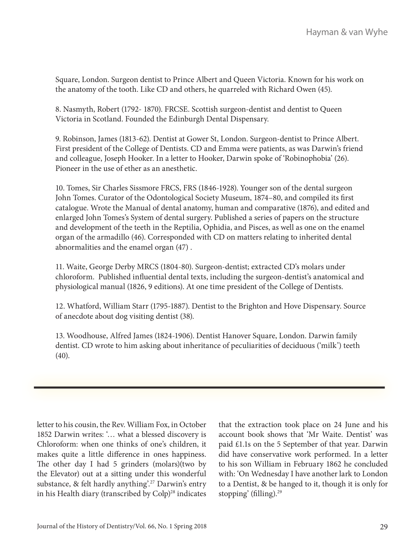Square, London. Surgeon dentist to Prince Albert and Queen Victoria. Known for his work on the anatomy of the tooth. Like CD and others, he quarreled with Richard Owen (45).

8. Nasmyth, Robert (1792- 1870). FRCSE. Scottish surgeon-dentist and dentist to Queen Victoria in Scotland. Founded the Edinburgh Dental Dispensary.

9. Robinson, James (1813-62). Dentist at Gower St, London. Surgeon-dentist to Prince Albert. First president of the College of Dentists. CD and Emma were patients, as was Darwin's friend and colleague, Joseph Hooker. In a letter to Hooker, Darwin spoke of 'Robinophobia' (26). Pioneer in the use of ether as an anesthetic.

10. Tomes, Sir Charles Sissmore FRCS, FRS (1846-1928). Younger son of the dental surgeon John Tomes. Curator of the Odontological Society Museum, 1874–80, and compiled its first catalogue. Wrote the Manual of dental anatomy, human and comparative (1876), and edited and enlarged John Tomes's System of dental surgery. Published a series of papers on the structure and development of the teeth in the Reptilia, Ophidia, and Pisces, as well as one on the enamel organ of the armadillo (46). Corresponded with CD on matters relating to inherited dental abnormalities and the enamel organ (47) .

11. Waite, George Derby MRCS (1804-80). Surgeon-dentist; extracted CD's molars under chloroform. Published influential dental texts, including the surgeon-dentist's anatomical and physiological manual (1826, 9 editions). At one time president of the College of Dentists.

12. Whatford, William Starr (1795-1887). Dentist to the Brighton and Hove Dispensary. Source of anecdote about dog visiting dentist (38).

13. Woodhouse, Alfred James (1824-1906). Dentist Hanover Square, London. Darwin family dentist. CD wrote to him asking about inheritance of peculiarities of deciduous ('milk') teeth (40).

letter to his cousin, the Rev. William Fox, in October 1852 Darwin writes: '… what a blessed discovery is Chloroform: when one thinks of one's children, it makes quite a little difference in ones happiness. The other day I had 5 grinders (molars)(two by the Elevator) out at a sitting under this wonderful substance, & felt hardly anything'.<sup>27</sup> Darwin's entry in his Health diary (transcribed by Colp)<sup>28</sup> indicates

that the extraction took place on 24 June and his account book shows that 'Mr Waite. Dentist' was paid £1.1s on the 5 September of that year. Darwin did have conservative work performed. In a letter to his son William in February 1862 he concluded with: 'On Wednesday I have another lark to London to a Dentist, & be hanged to it, though it is only for stopping' (filling).<sup>29</sup>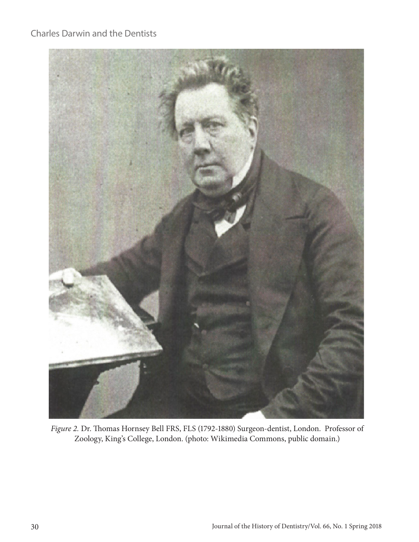# Charles Darwin and the Dentists



*Figure 2.* Dr. Thomas Hornsey Bell FRS, FLS (1792-1880) Surgeon-dentist, London. Professor of Zoology, King's College, London. (photo: Wikimedia Commons, public domain.)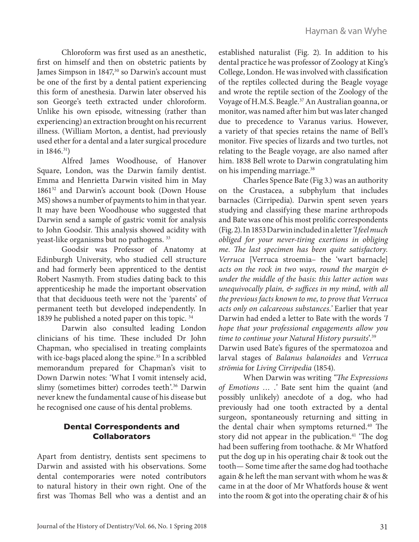Chloroform was first used as an anesthetic, first on himself and then on obstetric patients by James Simpson in 1847,<sup>30</sup> so Darwin's account must be one of the first by a dental patient experiencing this form of anesthesia. Darwin later observed his son George's teeth extracted under chloroform. Unlike his own episode, witnessing (rather than experiencing) an extraction brought on his recurrent illness. (William Morton, a dentist, had previously used ether for a dental and a later surgical procedure in 1846.31)

Alfred James Woodhouse, of Hanover Square, London, was the Darwin family dentist. Emma and Henrietta Darwin visited him in May 1861<sup>32</sup> and Darwin's account book (Down House MS) shows a number of payments to him in that year. It may have been Woodhouse who suggested that Darwin send a sample of gastric vomit for analysis to John Goodsir. This analysis showed acidity with yeast-like organisms but no pathogens. 33

Goodsir was Professor of Anatomy at Edinburgh University, who studied cell structure and had formerly been apprenticed to the dentist Robert Nasmyth. From studies dating back to this apprenticeship he made the important observation that that deciduous teeth were not the 'parents' of permanent teeth but developed independently. In 1839 he published a noted paper on this topic. 34

Darwin also consulted leading London clinicians of his time. These included Dr John Chapman, who specialised in treating complaints with ice-bags placed along the spine.<sup>35</sup> In a scribbled memorandum prepared for Chapman's visit to Down Darwin notes: 'What I vomit intensely acid, slimy (sometimes bitter) corrodes teeth'.<sup>36</sup> Darwin never knew the fundamental cause of his disease but he recognised one cause of his dental problems.

### **Dental Correspondents and Collaborators**

Apart from dentistry, dentists sent specimens to Darwin and assisted with his observations. Some dental contemporaries were noted contributors to natural history in their own right. One of the first was Thomas Bell who was a dentist and an

established naturalist (Fig. 2). In addition to his dental practice he was professor of Zoology at King's College, London. He was involved with classification of the reptiles collected during the Beagle voyage and wrote the reptile section of the Zoology of the Voyage of H.M.S. Beagle.37 An Australian goanna, or monitor, was named after him but was later changed due to precedence to Varanus varius. However, a variety of that species retains the name of Bell's monitor. Five species of lizards and two turtles, not relating to the Beagle voyage, are also named after him. 1838 Bell wrote to Darwin congratulating him on his impending marriage.38

Charles Spence Bate (Fig 3.) was an authority on the Crustacea, a subphylum that includes barnacles (Cirripedia). Darwin spent seven years studying and classifying these marine arthropods and Bate was one of his most prolific correspondents (Fig. 2). In 1853 Darwin included in a letter *'I feel much obliged for your never-tiring exertions in obliging me. The last specimen has been quite satisfactory. Verruca* [Verruca stroemia– the 'wart barnacle] *acts on the rock in two ways, round the margin & under the middle of the basis: this latter action was unequivocally plain, & suffices in my mind, with all the previous facts known to me, to prove that Verruca acts only on calcareous substances.'* Earlier that year Darwin had ended a letter to Bate with the words *'I hope that your professional engagements allow you time to continue your Natural History pursuits*'.39 Darwin used Bate's figures of the spermatozoa and larval stages of *Balanus balanoides* and *Verruca strömia* for *Living Cirripedia* (1854).

When Darwin was writing *"The Expressions of Emotions … .'* Bate sent him the quaint (and possibly unlikely) anecdote of a dog, who had previously had one tooth extracted by a dental surgeon, spontaneously returning and sitting in the dental chair when symptoms returned.<sup>40</sup> The story did not appear in the publication.<sup>41</sup> 'The dog had been suffering from toothache. & Mr Whatford put the dog up in his operating chair & took out the tooth— Some time after the same dog had toothache again & he left the man servant with whom he was & came in at the door of Mr Whatfords house & went into the room & got into the operating chair & of his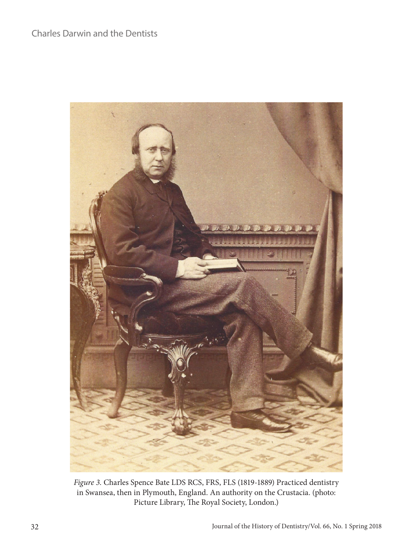

*Figure 3.* Charles Spence Bate LDS RCS, FRS, FLS (1819-1889) Practiced dentistry in Swansea, then in Plymouth, England. An authority on the Crustacia. (photo: Picture Library, The Royal Society, London.)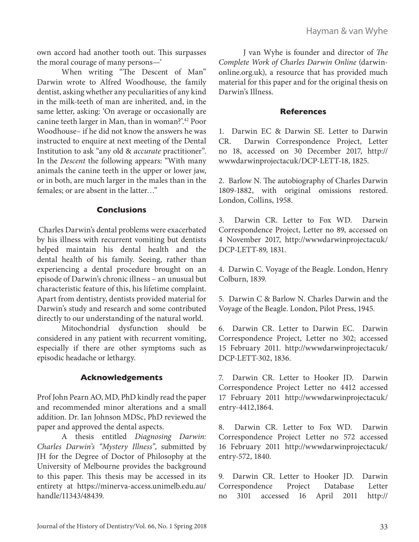own accord had another tooth out. This surpasses the moral courage of many persons—'

When writing "The Descent of Man" Darwin wrote to Alfred Woodhouse, the family dentist, asking whether any peculiarities of any kind in the milk-teeth of man are inherited, and, in the same letter, asking: 'On average or occasionally are canine teeth larger in Man, than in woman?'.42 Poor Woodhouse– if he did not know the answers he was instructed to enquire at next meeting of the Dental Institution to ask "any old & *accurate* practitioner". In the *Descent* the following appears: "With many animals the canine teeth in the upper or lower jaw, or in both, are much larger in the males than in the females; or are absent in the latter…"

#### **Conclusions**

 Charles Darwin's dental problems were exacerbated by his illness with recurrent vomiting but dentists helped maintain his dental health and the dental health of his family. Seeing, rather than experiencing a dental procedure brought on an episode of Darwin's chronic illness – an unusual but characteristic feature of this, his lifetime complaint. Apart from dentistry, dentists provided material for Darwin's study and research and some contributed directly to our understanding of the natural world.

Mitochondrial dysfunction should be considered in any patient with recurrent vomiting, especially if there are other symptoms such as episodic headache or lethargy.

### **Acknowledgements**

Prof John Pearn AO, MD, PhD kindly read the paper and recommended minor alterations and a small addition. Dr. Ian Johnson MDSc, PhD reviewed the paper and approved the dental aspects.

A thesis entitled *Diagnosing Darwin: Charles Darwin's "Mystery Illness"*, submitted by JH for the Degree of Doctor of Philosophy at the University of Melbourne provides the background to this paper. This thesis may be accessed in its entirety at https://minerva-access.unimelb.edu.au/ handle/11343/48439.

J van Wyhe is founder and director of *The Complete Work of Charles Darwin Online* (darwinonline.org.uk), a resource that has provided much material for this paper and for the original thesis on Darwin's Illness.

#### **References**

1. Darwin EC & Darwin SE. Letter to Darwin CR. Darwin Correspondence Project, Letter no 18, accessed on 30 December 2017, http:// wwwdarwinprojectacuk/DCP-LETT-18, 1825.

2. Barlow N. The autobiography of Charles Darwin 1809-1882, with original omissions restored. London, Collins, 1958.

3. Darwin CR. Letter to Fox WD. Darwin Correspondence Project, Letter no 89, accessed on 4 November 2017, http://wwwdarwinprojectacuk/ DCP-LETT-89, 1831.

4. Darwin C. Voyage of the Beagle. London, Henry Colburn, 1839.

5. Darwin C & Barlow N. Charles Darwin and the Voyage of the Beagle. London, Pilot Press, 1945.

6. Darwin CR. Letter to Darwin EC. Darwin Correspondence Project, Letter no 302; accessed 15 February 2011. http://wwwdarwinprojectacuk/ DCP-LETT-302, 1836.

7. Darwin CR. Letter to Hooker JD. Darwin Correspondence Project Letter no 4412 accessed 17 February 2011 http://wwwdarwinprojectacuk/ entry-4412,1864.

8. Darwin CR. Letter to Fox WD. Darwin Correspondence Project Letter no 572 accessed 16 February 2011 http://wwwdarwinprojectacuk/ entry-572, 1840.

9. Darwin CR. Letter to Hooker JD. Darwin Correspondence Project Database Letter no 3101 accessed 16 April 2011 http://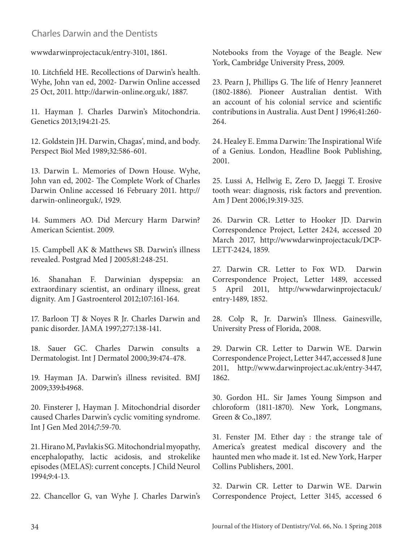## Charles Darwin and the Dentists

wwwdarwinprojectacuk/entry-3101, 1861.

10. Litchfield HE. Recollections of Darwin's health. Wyhe, John van ed, 2002- Darwin Online accessed 25 Oct, 2011. http://darwin-online.org.uk/, 1887.

11. Hayman J. Charles Darwin's Mitochondria. Genetics 2013;194:21-25.

12. Goldstein JH. Darwin, Chagas', mind, and body. Perspect Biol Med 1989;32:586-601.

13. Darwin L. Memories of Down House. Wyhe, John van ed, 2002- The Complete Work of Charles Darwin Online accessed 16 February 2011. http:// darwin-onlineorguk/, 1929.

14. Summers AO. Did Mercury Harm Darwin? American Scientist. 2009.

15. Campbell AK & Matthews SB. Darwin's illness revealed. Postgrad Med J 2005;81:248-251.

16. Shanahan F. Darwinian dyspepsia: an extraordinary scientist, an ordinary illness, great dignity. Am J Gastroenterol 2012;107:161-164.

17. Barloon TJ & Noyes R Jr. Charles Darwin and panic disorder. JAMA 1997;277:138-141.

18. Sauer GC. Charles Darwin consults a Dermatologist. Int J Dermatol 2000;39:474-478.

19. Hayman JA. Darwin's illness revisited. BMJ 2009;339:b4968.

20. Finsterer J, Hayman J. Mitochondrial disorder caused Charles Darwin's cyclic vomiting syndrome. Int J Gen Med 2014;7:59-70.

21. Hirano M, Pavlakis SG. Mitochondrial myopathy, encephalopathy, lactic acidosis, and strokelike episodes (MELAS): current concepts. J Child Neurol 1994;9:4-13.

22. Chancellor G, van Wyhe J. Charles Darwin's

Notebooks from the Voyage of the Beagle. New York, Cambridge University Press, 2009.

23. Pearn J, Phillips G. The life of Henry Jeanneret (1802-1886). Pioneer Australian dentist. With an account of his colonial service and scientific contributions in Australia. Aust Dent J 1996;41:260- 264.

24. Healey E. Emma Darwin: The Inspirational Wife of a Genius. London, Headline Book Publishing, 2001.

25. Lussi A, Hellwig E, Zero D, Jaeggi T. Erosive tooth wear: diagnosis, risk factors and prevention. Am J Dent 2006;19:319-325.

26. Darwin CR. Letter to Hooker JD. Darwin Correspondence Project, Letter 2424, accessed 20 March 2017, http://wwwdarwinprojectacuk/DCP-LETT-2424, 1859.

27. Darwin CR. Letter to Fox WD. Darwin Correspondence Project, Letter 1489, accessed 5 April 2011, http://wwwdarwinprojectacuk/ entry-1489, 1852.

28. Colp R, Jr. Darwin's Illness. Gainesville, University Press of Florida, 2008.

29. Darwin CR. Letter to Darwin WE. Darwin Correspondence Project, Letter 3447, accessed 8 June 2011, http://www.darwinproject.ac.uk/entry-3447, 1862.

30. Gordon HL. Sir James Young Simpson and chloroform (1811-1870). New York, Longmans, Green & Co.,1897.

31. Fenster JM. Ether day : the strange tale of America's greatest medical discovery and the haunted men who made it. 1st ed. New York, Harper Collins Publishers, 2001.

32. Darwin CR. Letter to Darwin WE. Darwin Correspondence Project, Letter 3145, accessed 6